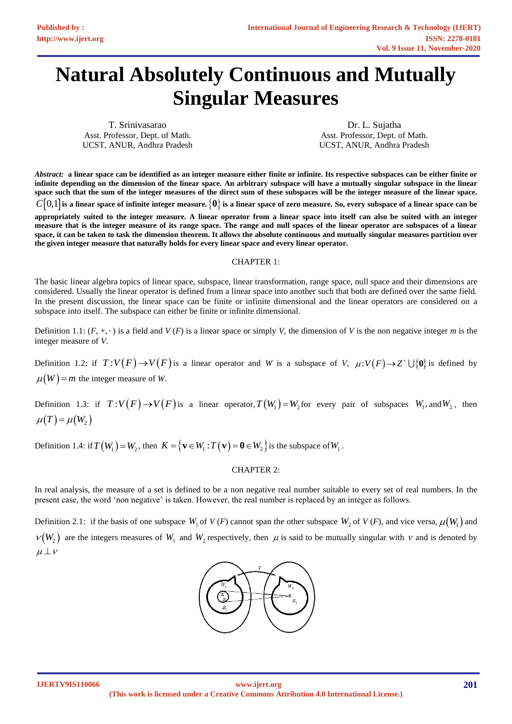# **Natural Absolutely Continuous and Mutually Singular Measures**

T. Srinivasarao Asst. Professor, Dept. of Math. UCST, ANUR, Andhra Pradesh

Dr. L. Sujatha Asst. Professor, Dept. of Math. UCST, ANUR, Andhra Pradesh

*Abstract:* **a linear space can be identified as an integer measure either finite or infinite. Its respective subspaces can be either finite or infinite depending on the dimension of the linear space. An arbitrary subspace will have a mutually singular subspace in the linear space such that the sum of the integer measures of the direct sum of these subspaces will be the integer measure of the linear space.**  $C[0,1]$  is a linear space of infinite integer measure.  $\{ \bm 0\}$  is a linear space of zero measure. So, every subspace of a linear space can be

**appropriately suited to the integer measure. A linear operator from a linear space into itself can also be suited with an integer measure that is the integer measure of its range space. The range and null spaces of the linear operator are subspaces of a linear space, it can be taken to task the dimension theorem. It allows the absolute continuous and mutually singular measures partition over the given integer measure that naturally holds for every linear space and every linear operator.** 

## CHAPTER 1:

The basic linear algebra topics of linear space, subspace, linear transformation, range space, null space and their dimensions are considered. Usually the linear operator is defined from a linear space into another such that both are defined over the same field. In the present discussion, the linear space can be finite or infinite dimensional and the linear operators are considered on a subspace into itself. The subspace can either be finite or infinite dimensional.

Definition 1.1:  $(F, +, \cdot)$  is a field and  $V(F)$  is a linear space or simply *V*, the dimension of *V* is the non negative integer *m* is the integer measure of *V*.

Definition 1.2: if  $T: V(F) \to V(F)$  is a linear operator and *W* is a subspace of *V*,  $\mu: V(F) \to Z^+ \cup \{0\}$  is defined by  $\mu(W) = m$  the integer measure of *W*.

Definition 1.3: if  $T: V(F) \to V(F)$  is a linear operator,  $T(W_1) = W_2$  for every pair of subspaces  $W_1$ , and  $W_2$ , then  $\mu(T) = \mu(W_2)$ 

Definition 1.4: if  $T(W_1) = W_2$ , then  $K = \{ \mathbf{v} \in W_1 : T(\mathbf{v}) = \mathbf{0} \in W_2 \}$  is the subspace of  $W_1$ .

#### CHAPTER 2:

In real analysis, the measure of a set is defined to be a non negative real number suitable to every set of real numbers. In the present case, the word 'non negative' is taken. However, the real number is replaced by an integer as follows.

Definition 2.1: if the basis of one subspace  $W_1$  of  $V(F)$  cannot span the other subspace  $W_2$  of  $V(F)$ , and vice versa,  $\mu(W_1)$  and  $v(W_2)$  are the integers measures of  $W_1$  and  $W_2$  respectively, then  $\mu$  is said to be mutually singular with  $\nu$  and is denoted by  $\mu \perp \nu$ 

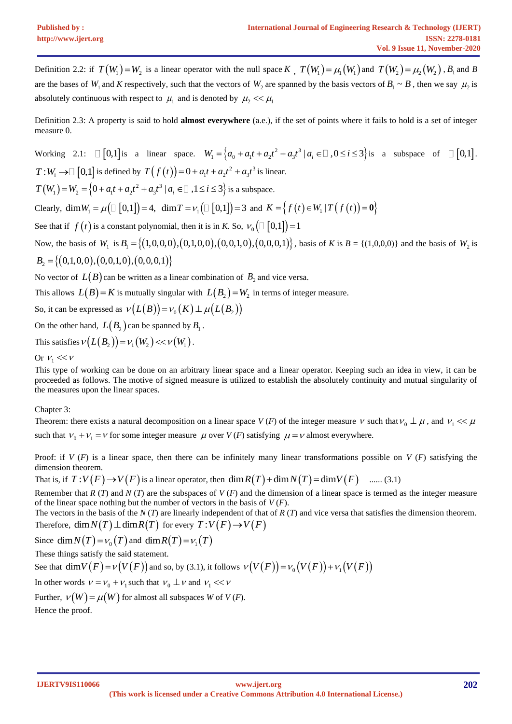Definition 2.2: if  $T(W_1) = W_2$  is a linear operator with the null space  $K$ ,  $T(W_1) = \mu_1(W_1)$  and  $T(W_2) = \mu_2(W_2)$ ,  $B_1$  and  $B$ are the bases of  $W_1$  and  $K$  respectively, such that the vectors of  $W_2$  are spanned by the basis vectors of  $B_1 \sim B$ , then we say  $\mu_2$  is absolutely continuous with respect to  $\mu_1$  and is denoted by  $\mu_2 \ll \mu_1$ 

Definition 2.3: A property is said to hold **almost everywhere** (a.e.), if the set of points where it fails to hold is a set of integer measure 0.

Working 2.1: 
$$
\Box [0,1]
$$
 is a linear space.  $W_1 = \{a_0 + a_1t + a_2t^2 + a_3t^3 | a_i \in \Box, 0 \le i \le 3\}$  is a subspace of  $\Box [0,1]$ .  
\n $T:W_1 \rightarrow \Box [0,1]$  is defined by  $T(f(t)) = 0 + a_1t + a_2t^2 + a_3t^3$  is linear.  
\n $T(W_1) = W_2 = \{0 + a_1t + a_2t^2 + a_3t^3 | a_i \in \Box, 1 \le i \le 3\}$  is a subspace.  
\nClearly,  $\dim W_1 = \mu(\Box [0,1]) = 4$ ,  $\dim T = \nu_1(\Box [0,1]) = 3$  and  $K = \{f(t) \in W_1 | T(f(t)) = 0\}$   
\nSee that if  $f(t)$  is a constant polynomial, then it is in K. So,  $\nu_0(\Box [0,1]) = 1$   
\nNow, the basis of  $W_1$  is  $B_1 = \{(1,0,0,0), (0,0,1,0), (0,0,1,0), (0,0,0,1)\}$ , basis of K is  $B = \{(1,0,0,0)\}$  and the basis of  $W_2$  is  
\n $B_2 = \{(0,1,0,0), (0,0,1,0), (0,0,0,1)\}$   
\nNo vector of  $L(B)$  can be written as a linear combination of  $B_2$  and vice versa.  
\nThis allows  $L(B) = K$  is mutually singular with  $L(B_2) = W_2$  in terms of integer measure.

So, it can be expressed as  $v(L(B)) = v_0(K) \perp \mu(L(B_2))$ 

On the other hand,  $L(B_2)$  can be spanned by  $B_1$ .

This satisfies  $\nu(L(B_2)) = \nu_1(W_2) << \nu(W_1)$ .

# Or  $v_1 \ll v$

This type of working can be done on an arbitrary linear space and a linear operator. Keeping such an idea in view, it can be proceeded as follows. The motive of signed measure is utilized to establish the absolutely continuity and mutual singularity of the measures upon the linear spaces.

Chapter 3:

Theorem: there exists a natural decomposition on a linear space  $V(F)$  of the integer measure  $V$  such that  $V_0 \perp \mu$ , and  $V_1 \ll \mu$ such that  $V_0 + V_1 = V$  for some integer measure  $\mu$  over  $V(F)$  satisfying  $\mu = V$  almost everywhere.

Proof: if *V* (*F*) is a linear space, then there can be infinitely many linear transformations possible on *V* (*F*) satisfying the dimension theorem.

dimension theorem.<br>That is, if  $T: V(F) \to V(F)$  is a linear operator, then  $\dim R(T) + \dim N(T) = \dim V(F)$  ....... (3.1)

Remember that *R* (*T*) and *N* (*T*) are the subspaces of *V* (*F*) and the dimension of a linear space is termed as the integer measure of the linear space nothing but the number of vectors in the basis of *V* (*F*).

The vectors in the basis of the *N* (*T*) are linearly independent of that of *R* (*T*) and vice versa that satisfies the dimension theorem. Therefore,  $\dim N(T) \perp \dim R(T)$  for every  $T: V(F) \rightarrow V(F)$ 

Since  $\dim N(T) = \nu_0(T)$  and  $\dim R(T) = \nu_1(T)$ 

These things satisfy the said statement.

These things satisfy the said statement.<br>See that  $\dim V(F) = \nu(V(F))$  and so, by (3.1), it follows  $\nu(V(F)) = \nu_0(V(F)) + \nu_1(V(F))$ 

In other words  $V = V_0 + V_1$  such that  $V_0 \perp V$  and  $V_1 \ll V$ 

Further,  $v(W) = \mu(W)$  for almost all subspaces *W* of *V* (*F*).

Hence the proof.